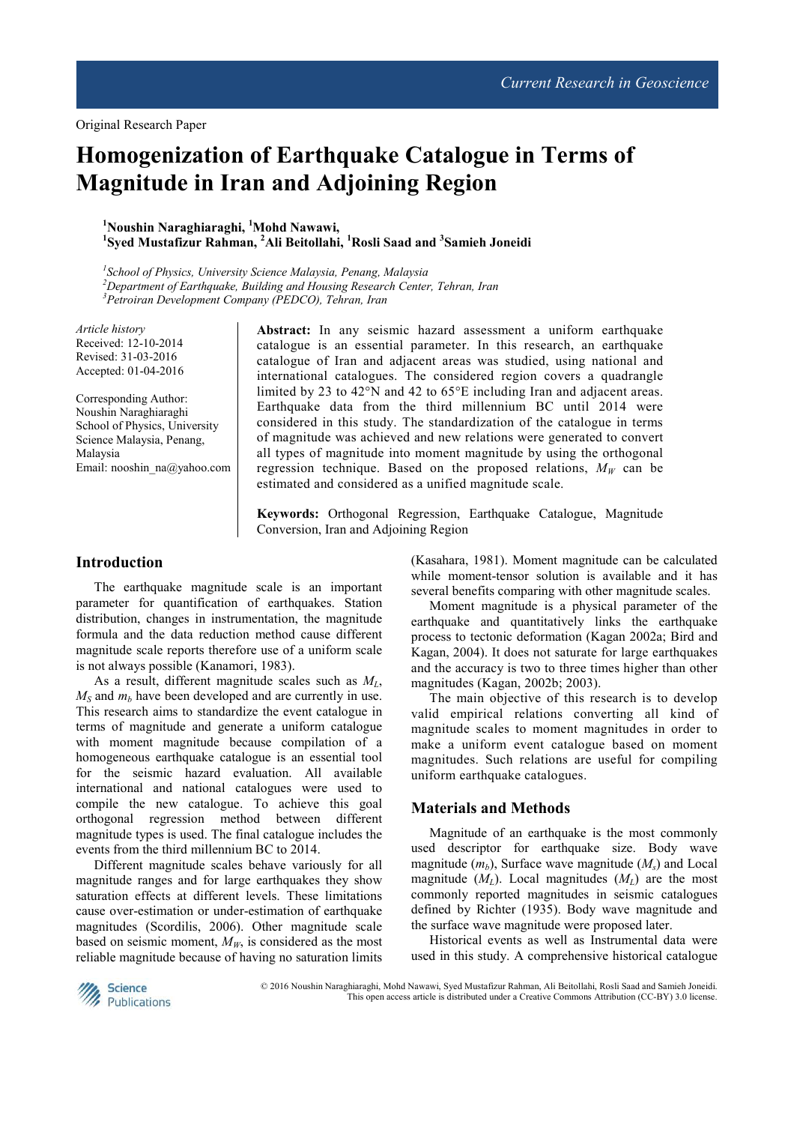Original Research Paper

# **Homogenization of Earthquake Catalogue in Terms of Magnitude in Iran and Adjoining Region**

**<sup>1</sup>Noushin Naraghiaraghi, <sup>1</sup>Mohd Nawawi, 1 Syed Mustafizur Rahman, <sup>2</sup>Ali Beitollahi, <sup>1</sup>Rosli Saad and <sup>3</sup> Samieh Joneidi** 

*1 School of Physics, University Science Malaysia, Penang, Malaysia <sup>2</sup>Department of Earthquake, Building and Housing Research Center, Tehran, Iran <sup>3</sup>Petroiran Development Company (PEDCO), Tehran, Iran*

*Article history*  Received: 12-10-2014 Revised: 31-03-2016 Accepted: 01-04-2016

Corresponding Author: Noushin Naraghiaraghi School of Physics, University Science Malaysia, Penang, Malaysia Email: nooshin\_na@yahoo.com **Abstract:** In any seismic hazard assessment a uniform earthquake catalogue is an essential parameter. In this research, an earthquake catalogue of Iran and adjacent areas was studied, using national and international catalogues. The considered region covers a quadrangle limited by 23 to 42°N and 42 to 65°E including Iran and adjacent areas. Earthquake data from the third millennium BC until 2014 were considered in this study. The standardization of the catalogue in terms of magnitude was achieved and new relations were generated to convert all types of magnitude into moment magnitude by using the orthogonal regression technique. Based on the proposed relations,  $M_W$  can be estimated and considered as a unified magnitude scale.

**Keywords:** Orthogonal Regression, Earthquake Catalogue, Magnitude Conversion, Iran and Adjoining Region

### **Introduction**

The earthquake magnitude scale is an important parameter for quantification of earthquakes. Station distribution, changes in instrumentation, the magnitude formula and the data reduction method cause different magnitude scale reports therefore use of a uniform scale is not always possible (Kanamori, 1983).

As a result, different magnitude scales such as *ML*,  $M<sub>S</sub>$  and  $m<sub>b</sub>$  have been developed and are currently in use. This research aims to standardize the event catalogue in terms of magnitude and generate a uniform catalogue with moment magnitude because compilation of a homogeneous earthquake catalogue is an essential tool for the seismic hazard evaluation. All available international and national catalogues were used to compile the new catalogue. To achieve this goal orthogonal regression method between different magnitude types is used. The final catalogue includes the events from the third millennium BC to 2014.

Different magnitude scales behave variously for all magnitude ranges and for large earthquakes they show saturation effects at different levels. These limitations cause over-estimation or under-estimation of earthquake magnitudes (Scordilis, 2006). Other magnitude scale based on seismic moment,  $M_W$ , is considered as the most reliable magnitude because of having no saturation limits (Kasahara, 1981). Moment magnitude can be calculated while moment-tensor solution is available and it has several benefits comparing with other magnitude scales.

Moment magnitude is a physical parameter of the earthquake and quantitatively links the earthquake process to tectonic deformation (Kagan 2002a; Bird and Kagan, 2004). It does not saturate for large earthquakes and the accuracy is two to three times higher than other magnitudes (Kagan, 2002b; 2003).

The main objective of this research is to develop valid empirical relations converting all kind of magnitude scales to moment magnitudes in order to make a uniform event catalogue based on moment magnitudes. Such relations are useful for compiling uniform earthquake catalogues.

#### **Materials and Methods**

Magnitude of an earthquake is the most commonly used descriptor for earthquake size. Body wave magnitude  $(m_h)$ , Surface wave magnitude  $(M_s)$  and Local magnitude  $(M_L)$ . Local magnitudes  $(M_L)$  are the most commonly reported magnitudes in seismic catalogues defined by Richter (1935). Body wave magnitude and the surface wave magnitude were proposed later.

Historical events as well as Instrumental data were used in this study. A comprehensive historical catalogue



© 2016 Noushin Naraghiaraghi, Mohd Nawawi, Syed Mustafizur Rahman, Ali Beitollahi, Rosli Saad and Samieh Joneidi. This open access article is distributed under a Creative Commons Attribution (CC-BY) 3.0 license.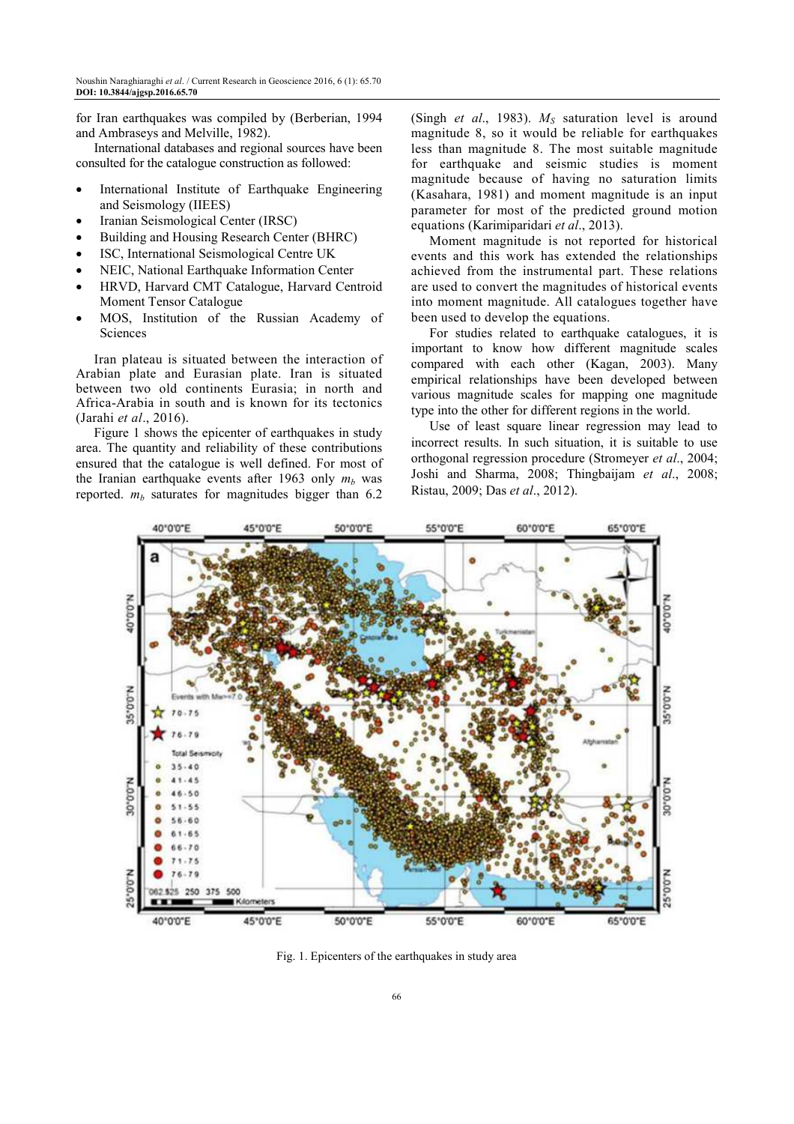for Iran earthquakes was compiled by (Berberian, 1994 and Ambraseys and Melville, 1982).

International databases and regional sources have been consulted for the catalogue construction as followed:

- International Institute of Earthquake Engineering and Seismology (IIEES)
- Iranian Seismological Center (IRSC)
- Building and Housing Research Center (BHRC)
- ISC, International Seismological Centre UK
- NEIC, National Earthquake Information Center
- HRVD, Harvard CMT Catalogue, Harvard Centroid Moment Tensor Catalogue
- MOS, Institution of the Russian Academy of Sciences

Iran plateau is situated between the interaction of Arabian plate and Eurasian plate. Iran is situated between two old continents Eurasia; in north and Africa-Arabia in south and is known for its tectonics (Jarahi *et al*., 2016).

Figure 1 shows the epicenter of earthquakes in study area. The quantity and reliability of these contributions ensured that the catalogue is well defined. For most of the Iranian earthquake events after 1963 only  $m_b$  was reported.  $m_b$  saturates for magnitudes bigger than 6.2

(Singh *et al*., 1983). *MS* saturation level is around magnitude 8, so it would be reliable for earthquakes less than magnitude 8. The most suitable magnitude for earthquake and seismic studies is moment magnitude because of having no saturation limits (Kasahara, 1981) and moment magnitude is an input parameter for most of the predicted ground motion equations (Karimiparidari *et al*., 2013).

Moment magnitude is not reported for historical events and this work has extended the relationships achieved from the instrumental part. These relations are used to convert the magnitudes of historical events into moment magnitude. All catalogues together have been used to develop the equations.

For studies related to earthquake catalogues, it is important to know how different magnitude scales compared with each other (Kagan, 2003). Many empirical relationships have been developed between various magnitude scales for mapping one magnitude type into the other for different regions in the world.

Use of least square linear regression may lead to incorrect results. In such situation, it is suitable to use orthogonal regression procedure (Stromeyer *et al*., 2004; Joshi and Sharma, 2008; Thingbaijam *et al*., 2008; Ristau, 2009; Das *et al*., 2012).



Fig. 1. Epicenters of the earthquakes in study area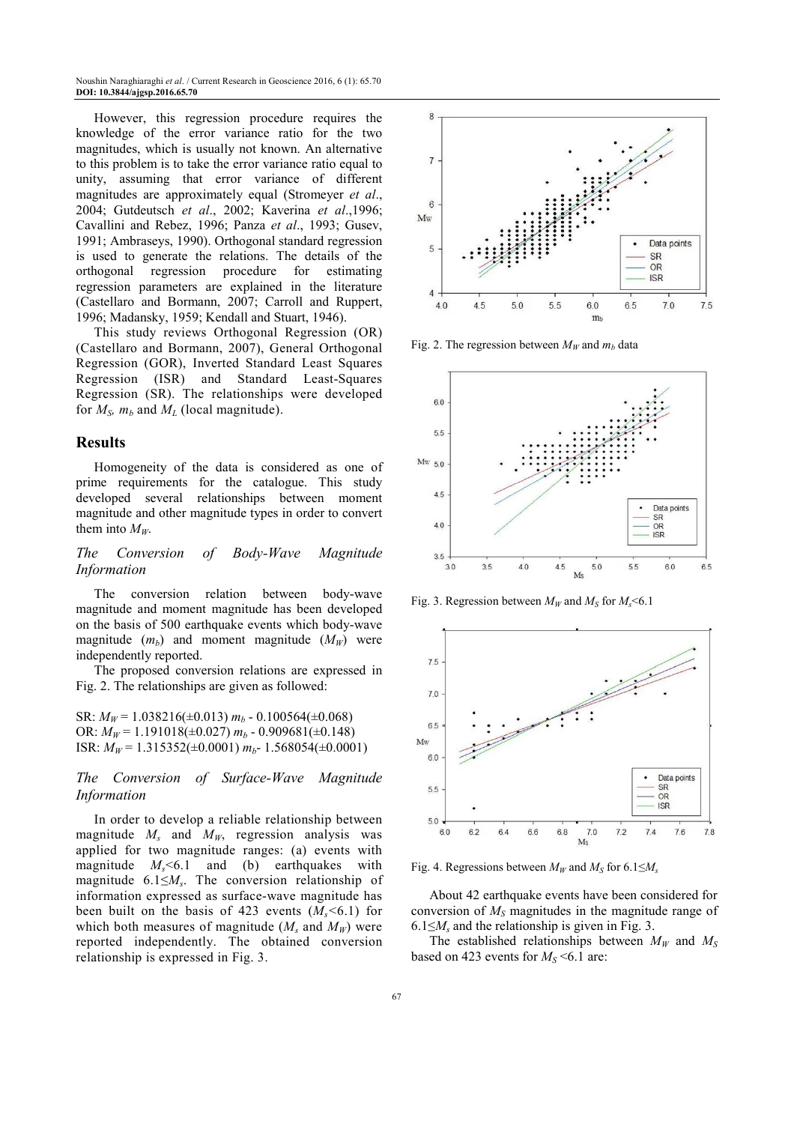Noushin Naraghiaraghi *et al*. / Current Research in Geoscience 2016, 6 (1): 65.70 **DOI: 10.3844/ajgsp.2016.65.70** 

However, this regression procedure requires the knowledge of the error variance ratio for the two magnitudes, which is usually not known. An alternative to this problem is to take the error variance ratio equal to unity, assuming that error variance of different magnitudes are approximately equal (Stromeyer *et al*., 2004; Gutdeutsch *et al*., 2002; Kaverina *et al*.,1996; Cavallini and Rebez, 1996; Panza *et al*., 1993; Gusev, 1991; Ambraseys, 1990). Orthogonal standard regression is used to generate the relations. The details of the orthogonal regression procedure for estimating regression parameters are explained in the literature (Castellaro and Bormann, 2007; Carroll and Ruppert, 1996; Madansky, 1959; Kendall and Stuart, 1946).

This study reviews Orthogonal Regression (OR) (Castellaro and Bormann, 2007), General Orthogonal Regression (GOR), Inverted Standard Least Squares Regression (ISR) and Standard Least-Squares Regression (SR). The relationships were developed for  $M_S$ *,*  $m_b$  and  $M_L$  (local magnitude).

#### **Results**

Homogeneity of the data is considered as one of prime requirements for the catalogue. This study developed several relationships between moment magnitude and other magnitude types in order to convert them into  $M_W$ .

*The Conversion of Body-Wave Magnitude Information*

The conversion relation between body-wave magnitude and moment magnitude has been developed on the basis of 500 earthquake events which body-wave magnitude  $(m_b)$  and moment magnitude  $(M_W)$  were independently reported.

The proposed conversion relations are expressed in Fig. 2. The relationships are given as followed:

SR:  $M_W$  = 1.038216( $\pm$ 0.013)  $m_b$  - 0.100564( $\pm$ 0.068) OR:  $M_W$  = 1.191018( $\pm$ 0.027)  $m_b$  - 0.909681( $\pm$ 0.148) ISR: *MW* = 1.315352(±0.0001) *mb*- 1.568054(±0.0001)

*The Conversion of Surface-Wave Magnitude Information*

In order to develop a reliable relationship between magnitude *M<sup>s</sup>* and *MW*, regression analysis was applied for two magnitude ranges: (a) events with magnitude  $M_s$   $\leq$  6.1 and (b) earthquakes with magnitude 6.1≤*M<sup>s</sup>* . The conversion relationship of information expressed as surface-wave magnitude has been built on the basis of 423 events  $(M_s < 6.1)$  for which both measures of magnitude  $(M_s$  and  $M_W$ ) were reported independently. The obtained conversion relationship is expressed in Fig. 3.



Fig. 2. The regression between  $M_W$  and  $m_b$  data



Fig. 3. Regression between  $M_W$  and  $M_S$  for  $M_S$  <6.1



Fig. 4. Regressions between  $M_W$  and  $M_S$  for 6.1 $\leq M_s$ 

About 42 earthquake events have been considered for conversion of *MS* magnitudes in the magnitude range of  $6.1 \leq M_s$  and the relationship is given in Fig. 3.

The established relationships between  $M_W$  and  $M_S$ based on 423 events for  $M<sub>S</sub> < 6.1$  are: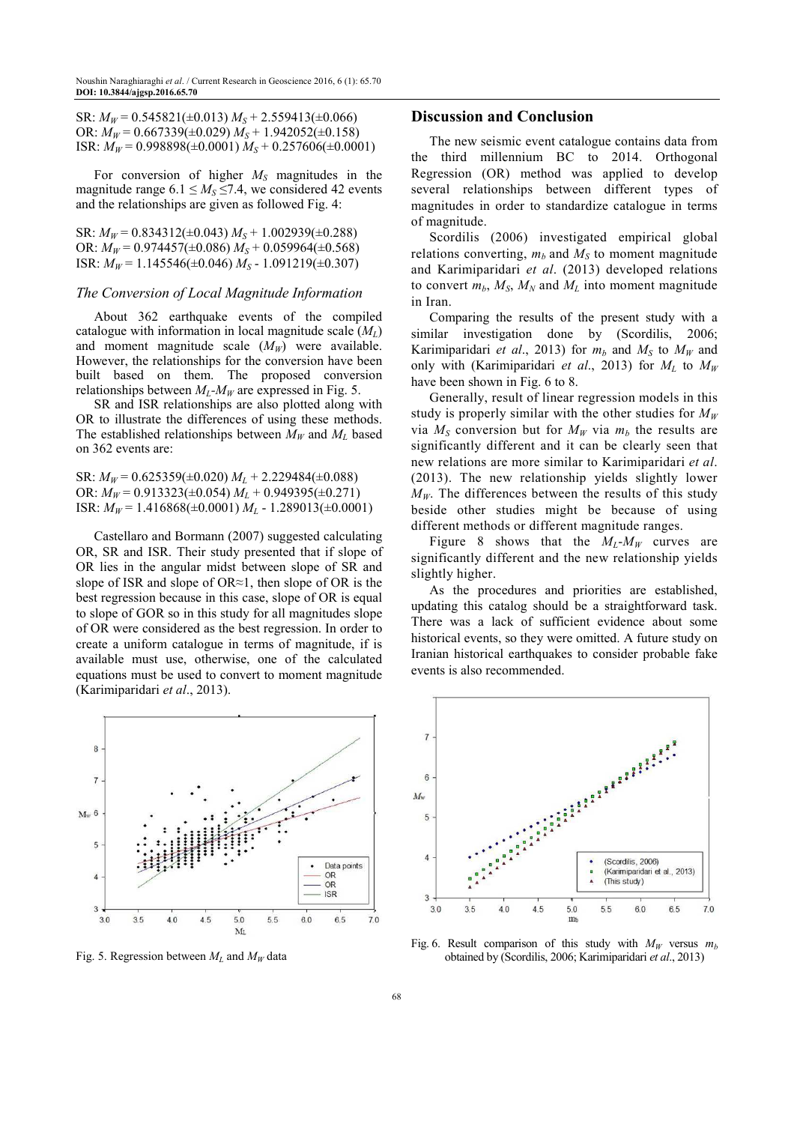SR:  $M_W$  = 0.545821( $\pm$ 0.013)  $M_S$  + 2.559413( $\pm$ 0.066) OR:  $M_W$  = 0.667339( $\pm$ 0.029)  $M_S$  + 1.942052( $\pm$ 0.158) ISR:  $M_W$  = 0.998898( $\pm$ 0.0001)  $M_S$  + 0.257606( $\pm$ 0.0001)

For conversion of higher *MS* magnitudes in the magnitude range  $6.1 \leq M_s \leq 7.4$ , we considered 42 events and the relationships are given as followed Fig. 4:

SR:  $M_W$  = 0.834312( $\pm$ 0.043)  $M_S$  + 1.002939( $\pm$ 0.288) OR:  $M_W$  = 0.974457( $\pm$ 0.086)  $M_S$  + 0.059964( $\pm$ 0.568) ISR:  $M_W$  = 1.145546( $\pm$ 0.046)  $M_S$  - 1.091219( $\pm$ 0.307)

#### *The Conversion of Local Magnitude Information*

About 362 earthquake events of the compiled catalogue with information in local magnitude scale (*ML*) and moment magnitude scale  $(M_W)$  were available. However, the relationships for the conversion have been built based on them. The proposed conversion relationships between  $M_L$ - $M_W$  are expressed in Fig. 5.

SR and ISR relationships are also plotted along with OR to illustrate the differences of using these methods. The established relationships between  $M_W$  and  $M_L$  based on 362 events are:

SR:  $M_W$  = 0.625359( $\pm$ 0.020)  $M_L$  + 2.229484( $\pm$ 0.088) OR:  $M_W$  = 0.913323( $\pm$ 0.054)  $M_L$  + 0.949395( $\pm$ 0.271) ISR:  $M_W$  = 1.416868( $\pm$ 0.0001)  $M_L$  - 1.289013( $\pm$ 0.0001)

Castellaro and Bormann (2007) suggested calculating OR, SR and ISR. Their study presented that if slope of OR lies in the angular midst between slope of SR and slope of ISR and slope of OR≈1, then slope of OR is the best regression because in this case, slope of OR is equal to slope of GOR so in this study for all magnitudes slope of OR were considered as the best regression. In order to create a uniform catalogue in terms of magnitude, if is available must use, otherwise, one of the calculated equations must be used to convert to moment magnitude (Karimiparidari *et al*., 2013).



Fig. 5. Regression between  $M_L$  and  $M_W$  data

#### **Discussion and Conclusion**

The new seismic event catalogue contains data from the third millennium BC to 2014. Orthogonal Regression (OR) method was applied to develop several relationships between different types of magnitudes in order to standardize catalogue in terms of magnitude.

Scordilis (2006) investigated empirical global relations converting,  $m_b$  and  $M_s$  to moment magnitude and Karimiparidari *et al*. (2013) developed relations to convert  $m_h$ ,  $M_s$ ,  $M_N$  and  $M_L$  into moment magnitude in Iran.

Comparing the results of the present study with a similar investigation done by (Scordilis, 2006; Karimiparidari *et al.*, 2013) for  $m_b$  and  $M_s$  to  $M_w$  and only with (Karimiparidari *et al.*, 2013) for  $M_L$  to  $M_W$ have been shown in Fig. 6 to 8.

Generally, result of linear regression models in this study is properly similar with the other studies for  $M_W$ via  $M<sub>S</sub>$  conversion but for  $M<sub>W</sub>$  via  $m<sub>b</sub>$  the results are significantly different and it can be clearly seen that new relations are more similar to Karimiparidari *et al*. (2013). The new relationship yields slightly lower  $M_W$ . The differences between the results of this study beside other studies might be because of using different methods or different magnitude ranges.

Figure 8 shows that the  $M_L$ - $M_W$  curves are significantly different and the new relationship yields slightly higher.

As the procedures and priorities are established, updating this catalog should be a straightforward task. There was a lack of sufficient evidence about some historical events, so they were omitted. A future study on Iranian historical earthquakes to consider probable fake events is also recommended.



Fig. 6. Result comparison of this study with  $M_W$  versus  $m_b$ obtained by (Scordilis, 2006; Karimiparidari *et al*., 2013)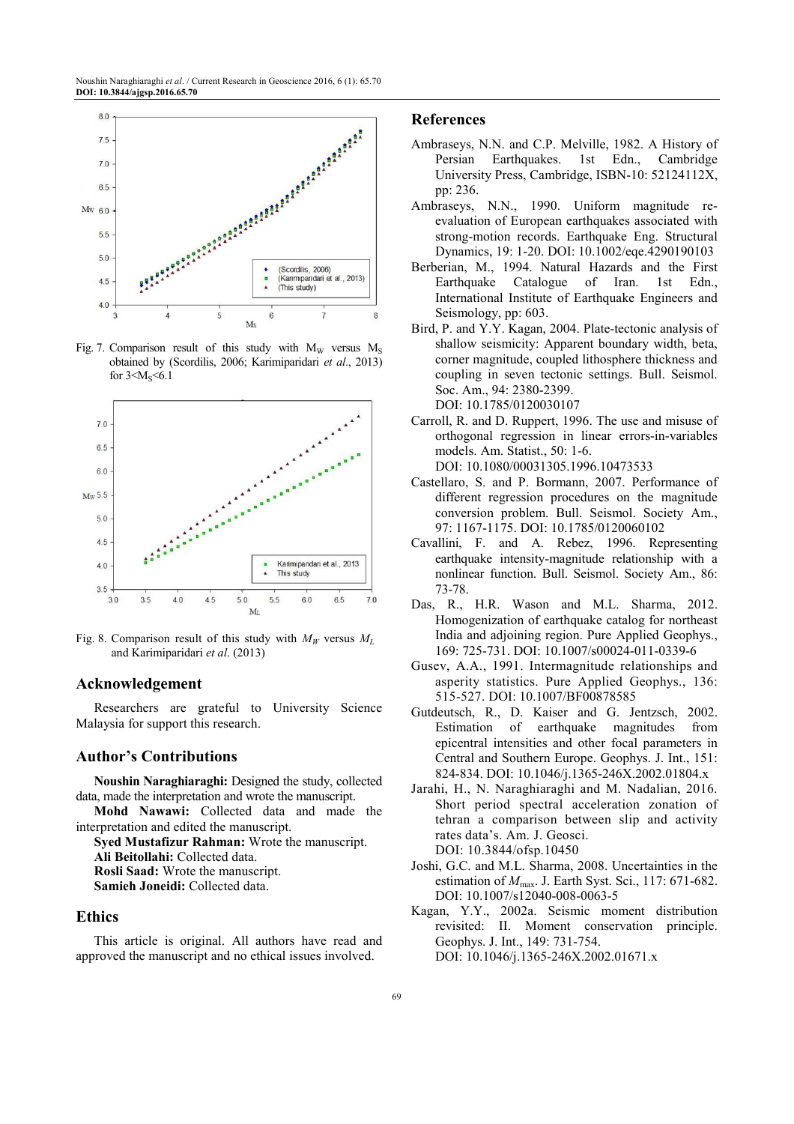

Fig. 7. Comparison result of this study with  $M_W$  versus  $M_S$ obtained by (Scordilis, 2006; Karimiparidari *et al*., 2013) for  $3 \le M_s \le 6.1$ 



Fig. 8. Comparison result of this study with  $M_W$  versus  $M_L$ and Karimiparidari *et al*. (2013)

# **Acknowledgement**

Researchers are grateful to University Science Malaysia for support this research.

## **Author's Contributions**

**Noushin Naraghiaraghi:** Designed the study, collected data, made the interpretation and wrote the manuscript.

**Mohd Nawawi:** Collected data and made the interpretation and edited the manuscript.

**Syed Mustafizur Rahman:** Wrote the manuscript. **Ali Beitollahi:** Collected data. **Rosli Saad:** Wrote the manuscript.

**Samieh Joneidi:** Collected data.

#### **Ethics**

This article is original. All authors have read and approved the manuscript and no ethical issues involved.

#### **References**

- Ambraseys, N.N. and C.P. Melville, 1982. A History of Persian Earthquakes. 1st Edn., Cambridge University Press, Cambridge, ISBN-10: 52124112X, pp: 236.
- Ambraseys, N.N., 1990. Uniform magnitude reevaluation of European earthquakes associated with strong-motion records. Earthquake Eng. Structural Dynamics, 19: 1-20. DOI: 10.1002/eqe.4290190103
- Berberian, M., 1994. Natural Hazards and the First Earthquake Catalogue of Iran. 1st Edn., International Institute of Earthquake Engineers and Seismology, pp: 603.
- Bird, P. and Y.Y. Kagan, 2004. Plate-tectonic analysis of shallow seismicity: Apparent boundary width, beta, corner magnitude, coupled lithosphere thickness and coupling in seven tectonic settings. Bull. Seismol. Soc. Am., 94: 2380-2399. DOI: 10.1785/0120030107
- Carroll, R. and D. Ruppert, 1996. The use and misuse of orthogonal regression in linear errors-in-variables models. Am. Statist., 50: 1-6. DOI: 10.1080/00031305.1996.10473533
- Castellaro, S. and P. Bormann, 2007. Performance of different regression procedures on the magnitude conversion problem. Bull. Seismol. Society Am., 97: 1167-1175. DOI: 10.1785/0120060102
- Cavallini, F. and A. Rebez, 1996. Representing earthquake intensity-magnitude relationship with a nonlinear function. Bull. Seismol. Society Am., 86: 73-78.
- Das, R., H.R. Wason and M.L. Sharma, 2012. Homogenization of earthquake catalog for northeast India and adjoining region. Pure Applied Geophys., 169: 725-731. DOI: 10.1007/s00024-011-0339-6
- Gusev, A.A., 1991. Intermagnitude relationships and asperity statistics. Pure Applied Geophys., 136: 515-527. DOI: 10.1007/BF00878585
- Gutdeutsch, R., D. Kaiser and G. Jentzsch, 2002. Estimation of earthquake magnitudes from epicentral intensities and other focal parameters in Central and Southern Europe. Geophys. J. Int., 151: 824-834. DOI: 10.1046/j.1365-246X.2002.01804.x
- Jarahi, H., N. Naraghiaraghi and M. Nadalian, 2016. Short period spectral acceleration zonation of tehran a comparison between slip and activity rates data's. Am. J. Geosci. DOI: 10.3844/ofsp.10450
- Joshi, G.C. and M.L. Sharma, 2008. Uncertainties in the estimation of *M*max. J. Earth Syst. Sci., 117: 671-682. DOI: 10.1007/s12040-008-0063-5
- Kagan, Y.Y., 2002a. Seismic moment distribution revisited: II. Moment conservation principle. Geophys. J. Int., 149: 731-754. DOI: 10.1046/j.1365-246X.2002.01671.x